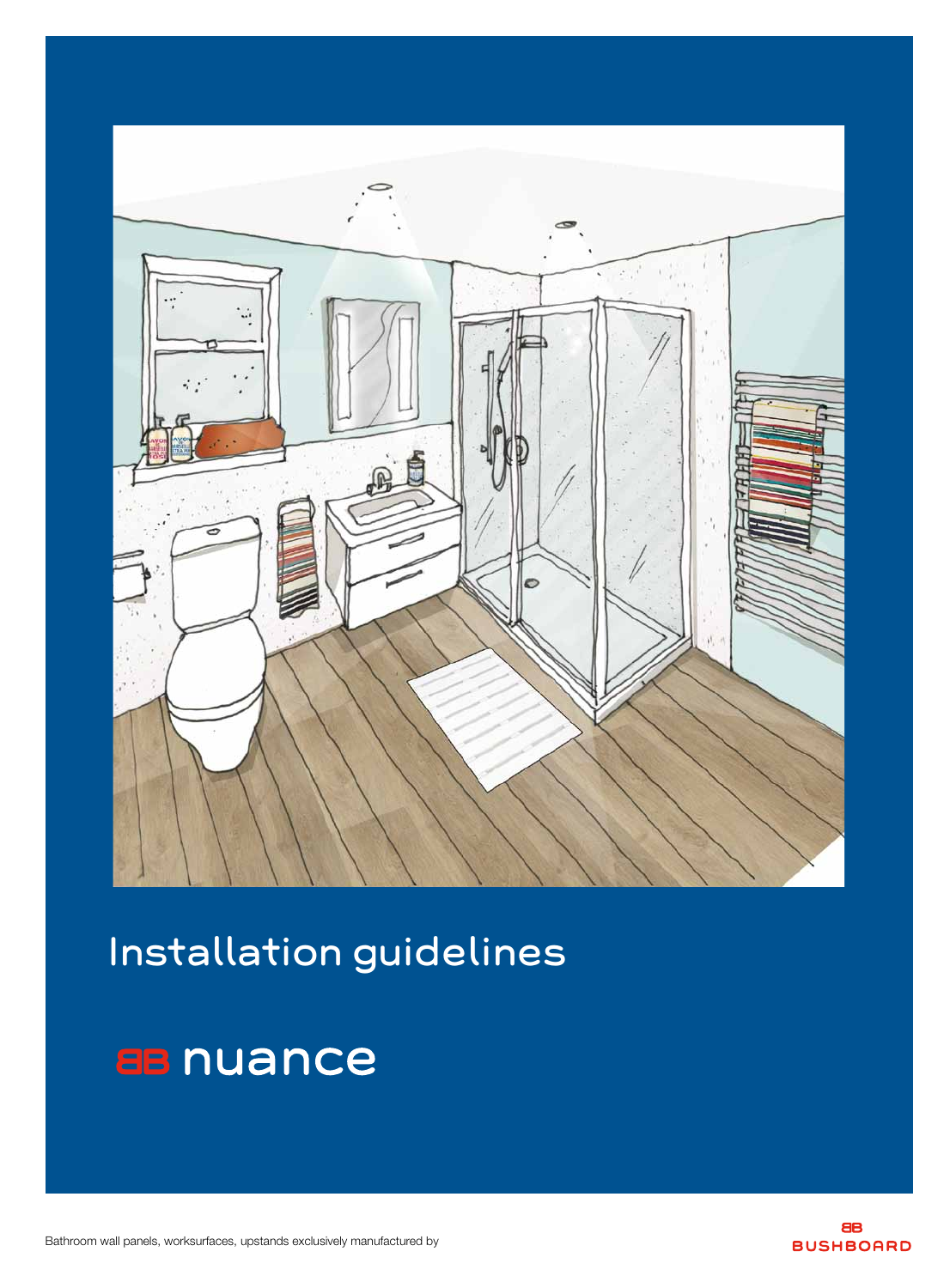Bathroom wall panels, worksurfaces, upstands exclusively manufactured by





# Installation guidelines

## **aB** nuance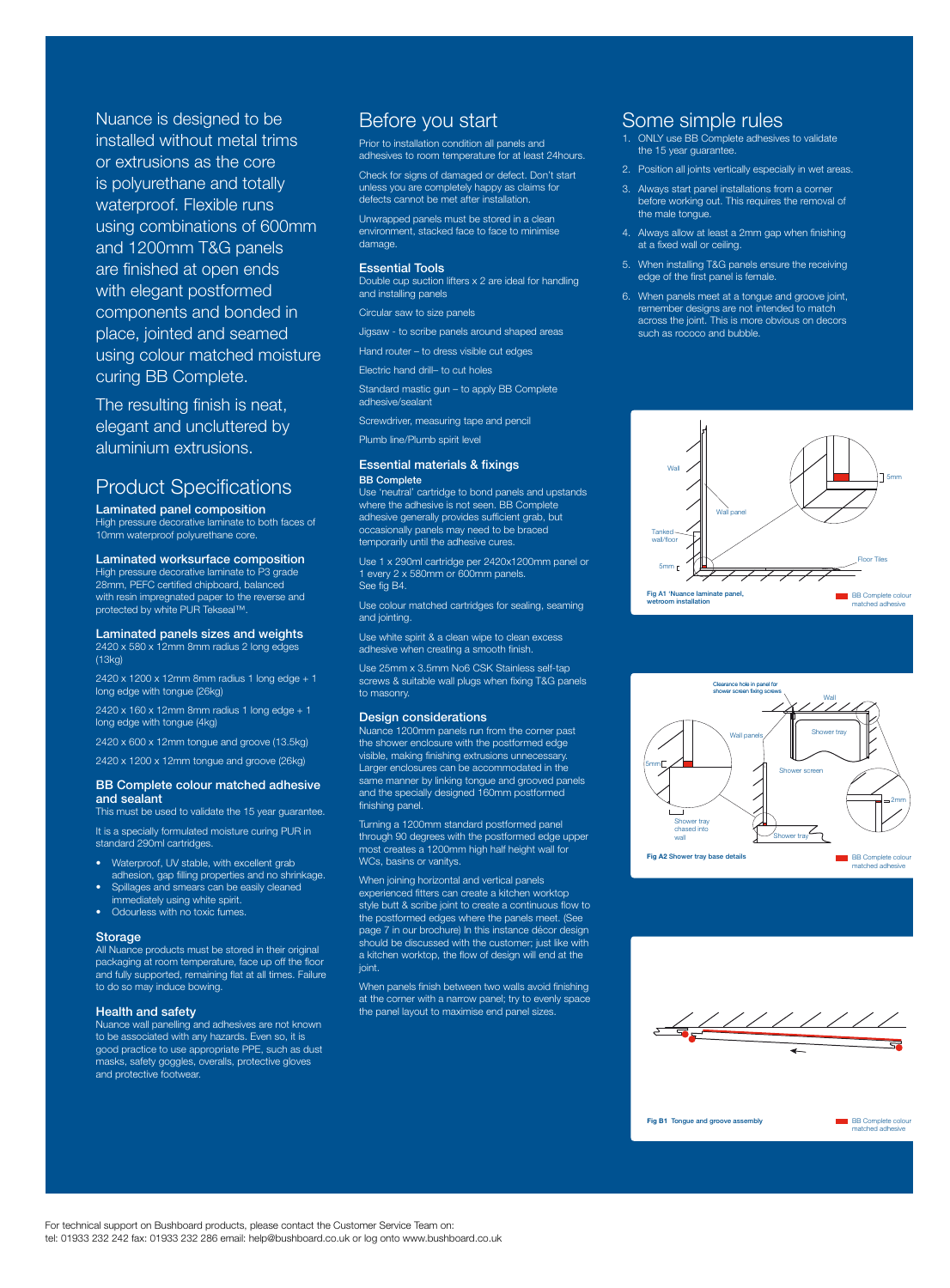For technical support on Bushboard products, please contact the Customer Service Team on: tel: 01933 232 242 fax: 01933 232 286 email: help@bushboard.co.uk or log onto www.bushboard.co.uk BB Complete colour matched adhesive

**BB** Complete colour matched adhesive



**Fig B1** Tongue and groove assembly



**Fig A2** Shower tray base details

Nuance is designed to be installed without metal trims or extrusions as the core is polyurethane and totally waterproof. Flexible runs using combinations of 600mm and 1200mm T&G panels are finished at open ends with elegant postformed components and bonded in place, jointed and seamed using colour matched moisture curing BB Complete.

The resulting finish is neat, elegant and uncluttered by aluminium extrusions.

## Product Specifications

Laminated panel composition

High pressure decorative laminate to both faces of 10mm waterproof polyurethane core.

#### Laminated worksurface composition

High pressure decorative laminate to P3 grade 28mm, PEFC certified chipboard, balanced with resin impregnated paper to the reverse and protected by white PUR Tekseal™.

Prior to installation condition all panels and adhesives to room temperature for at least 24hours.

#### Laminated panels sizes and weights 2420 x 580 x 12mm 8mm radius 2 long edges

(13kg) 2420 x 1200 x 12mm 8mm radius 1 long edge + 1 long edge with tongue (26kg)

2420 x 160 x 12mm 8mm radius 1 long edge + 1 long edge with tongue (4kg)

2420 x 600 x 12mm tongue and groove (13.5kg)

2420 x 1200 x 12mm tongue and groove (26kg)

#### BB Complete colour matched adhesive and sealant

This must be used to validate the 15 year guarantee.

It is a specially formulated moisture curing PUR in standard 290ml cartridges.

- Waterproof, UV stable, with excellent grab adhesion, gap filling properties and no shrinkage.
- Spillages and smears can be easily cleaned immediately using white spirit.
- Odourless with no toxic fumes.

#### Storage

When joining horizontal and vertical panels experienced fitters can create a kitchen worktop style butt & scribe joint to create a continuous flow to the postformed edges where the panels meet. (See page 7 in our brochure) In this instance décor design should be discussed with the customer; just like with a kitchen worktop, the flow of design will end at the ioint.

All Nuance products must be stored in their original packaging at room temperature, face up off the floor and fully supported, remaining flat at all times. Failure to do so may induce bowing.

#### **Health and safety**

When panels finish between two walls avoid finishing at the corner with a narrow panel; try to evenly space the parel it to maximise the parel size to maximise the parties of the parties in the parties in the parties i<br>In the panel size of the parties of the parties of the parties of the parties in the parties in the parties in<br>

Nuance wall panelling and adhesives are not known to be associated with any hazards. Even so, it is good practice to use appropriate PPE, such as dust masks, safety goggles, overalls, protective gloves and protective footwear.



## Before you start

Check for signs of damaged or defect. Don't start unless you are completely happy as claims for defects cannot be met after installation.

Unwrapped panels must be stored in a clean environment, stacked face to face to minimise damage.

#### Essential Tools

Double cup suction lifters x 2 are ideal for handling and installing panels

Circular saw to size panels

Jigsaw - to scribe panels around shaped areas

Hand router – to dress visible cut edges

Electric hand drill– to cut holes

Standard mastic gun – to apply BB Complete adhesive/sealant

Screwdriver, measuring tape and pencil

Plumb line/Plumb spirit level

#### Essential materials & fixings BB Complete

Use 'neutral' cartridge to bond panels and upstands where the adhesive is not seen. BB Complete adhesive generally provides sufficient grab, but occasionally panels may need to be braced temporarily until the adhesive cures.

Use 1 x 290ml cartridge per 2420x1200mm panel or 1 every 2 x 580mm or 600mm panels. See fig B4.

Use colour matched cartridges for sealing, seaming and jointing.

Use white spirit & a clean wipe to clean excess adhesive when creating a smooth finish.

Use 25mm x 3.5mm No6 CSK Stainless self-tap screws & suitable wall plugs when fixing T&G panels to masonry.

#### Design considerations

Nuance 1200mm panels run from the corner past the shower enclosure with the postformed edge visible, making finishing extrusions unnecessary. Larger enclosures can be accommodated in the same manner by linking tongue and grooved panels and the specially designed 160mm postformed finishing panel.

Turning a 1200mm standard postformed panel through 90 degrees with the postformed edge upper most creates a 1200mm high half height wall for WCs, basins or vanitys.

## Some simple rules

- 1. ONLY use BB Complete adhesives to validate the 15 year guarantee.
- 2. Position all joints vertically especially in wet areas.
- 3. Always start panel installations from a corner before working out. This requires the removal of the male tongue.
- 4. Always allow at least a 2mm gap when finishing at a fixed wall or ceiling.
- 5. When installing T&G panels ensure the receiving edge of the first panel is female.
- 6. When panels meet at a tongue and groove joint, remember designs are not intended to match across the joint. This is more obvious on decors such as rococo and bubble.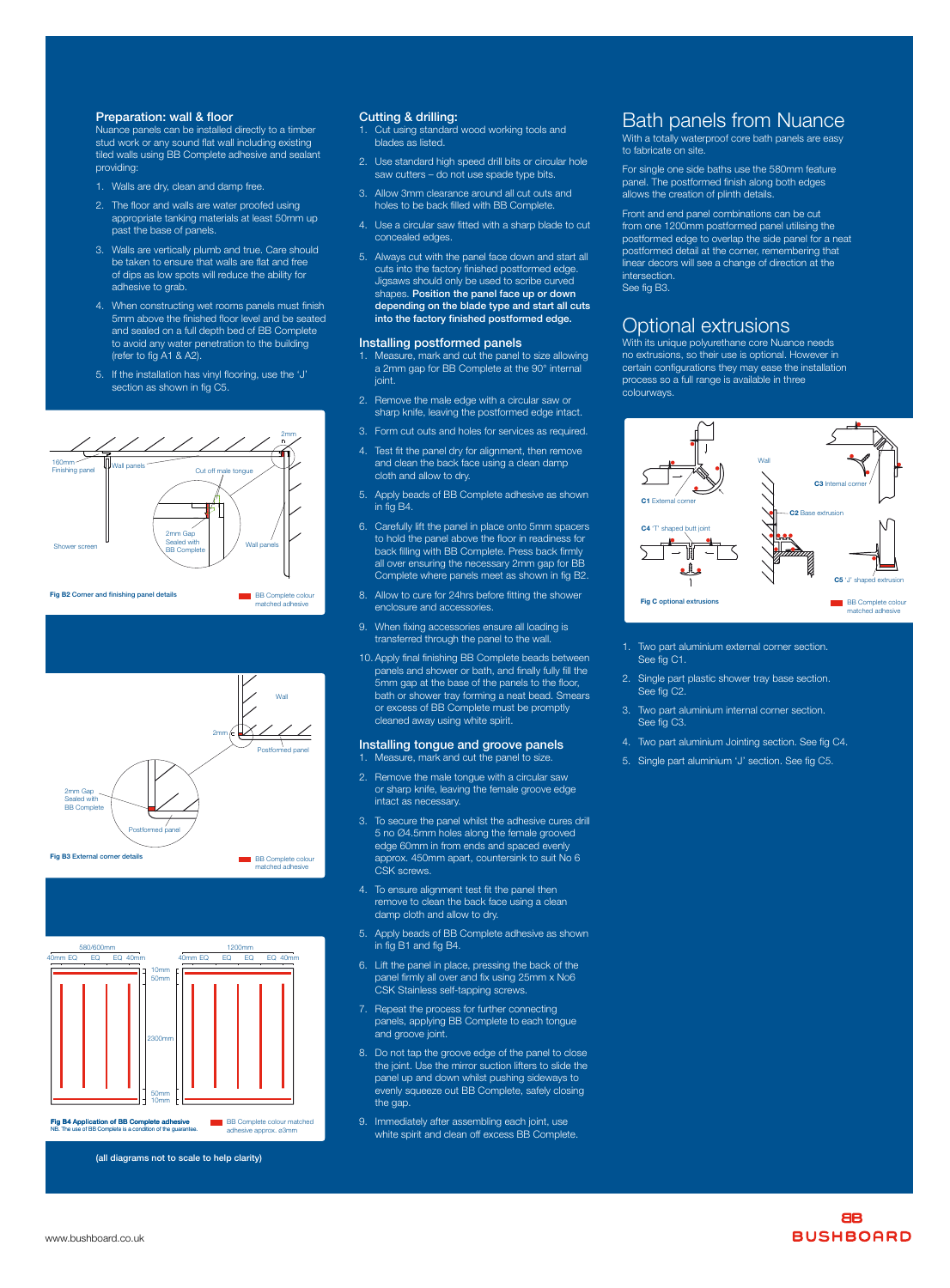www.bushboard.co.uk





**BB Complete colour matched** adhesive approx. ø3mm





matched adhesive



(all diagrams not to scale to help clarity)

- 1. Walls are dry, clean and damp free.
- 2. The floor and walls are water proofed using appropriate tanking materials at least 50mm up past the base of panels.
- 3. Walls are vertically plumb and true. Care should be taken to ensure that walls are flat and free of dips as low spots will reduce the ability for adhesive to grab.
- 4. When constructing wet rooms panels must finish 5mm above the finished floor level and be seated and sealed on a full depth bed of BB Complete to avoid any water penetration to the building (refer to fig A1 & A2).
- 5. If the installation has vinyl flooring, use the 'J' section as shown in fig C5.

#### Preparation: wall & floor

Nuance panels can be installed directly to a timber stud work or any sound flat wall including existing tiled walls using BB Complete adhesive and sealant providing:

#### Cutting & drilling:

- 1. Measure, mark and cut the panel to size.
- 2. Remove the male tongue with a circular saw or sharp knife, leaving the female groove edge intact as necessary.
- 3. To secure the panel whilst the adhesive cures drill 5 no Ø4.5mm holes along the female grooved edge 60mm in from ends and spaced evenly approx. 450mm apart, countersink to suit No 6 CSK screws.
- 4. To ensure alignment test fit the panel then remove to clean the back face using a clean damp cloth and allow to dry.
- 5. Apply beads of BB Complete adhesive as shown in fig B1 and fig B4.
- 6. Lift the panel in place, pressing the back of the panel firmly all over and fix using 25mm x No6 CSK Stainless self-tapping screws.
- Repeat the process for further connecting
- 1. Cut using standard wood working tools and blades as listed.
- 2. Use standard high speed drill bits or circular hole saw cutters – do not use spade type bits.
- 3. Allow 3mm clearance around all cut outs and holes to be back filled with BB Complete.
- 4. Use a circular saw fitted with a sharp blade to cut concealed edges.
- 5. Always cut with the panel face down and start all cuts into the factory finished postformed edge. Jigsaws should only be used to scribe curved shapes. Position the panel face up or down depending on the blade type and start all cuts into the factory finished postformed edge.

#### Installing postformed panels

With a totally waterproof core bath panels are easy to fabricate on site.

- 1. Measure, mark and cut the panel to size allowing a 2mm gap for BB Complete at the 90° internal joint.
- 2. Remove the male edge with a circular saw or sharp knife, leaving the postformed edge intact.
- 3. Form cut outs and holes for services as required.
- 4. Test fit the panel dry for alignment, then remove and clean the back face using a clean damp cloth and allow to dry.
- 5. Apply beads of BB Complete adhesive as shown in fig B4.
- 6. Carefully lift the panel in place onto 5mm spacers to hold the panel above the floor in readiness for back filling with BB Complete. Press back firmly all over ensuring the necessary 2mm gap for BB Complete where panels meet as shown in fig B2.
- 8. Allow to cure for 24hrs before fitting the shower enclosure and accessories.
- 9. When fixing accessories ensure all loading is transferred through the panel to the wall.
- 10. Apply final finishing BB Complete beads between panels and shower or bath, and finally fully fill the 5mm gap at the base of the panels to the floor, bath or shower tray forming a neat bead. Smears or excess of BB Complete must be promptly cleaned away using white spirit.

### Installing tongue and groove panels

panels, applying BB Complete to each tongue and groove joint.

- 8. Do not tap the groove edge of the panel to close the joint. Use the mirror suction lifters to slide the panel up and down whilst pushing sideways to evenly squeeze out BB Complete, safely closing the gap.
- 9. Immediately after assembling each joint, use white spirit and clean off excess BB Complete.

## Bath panels from Nuance

For single one side baths use the 580mm feature panel. The postformed finish along both edges allows the creation of plinth details.

Front and end panel combinations can be cut from one 1200mm postformed panel utilising the postformed edge to overlap the side panel for a neat postformed detail at the corner, remembering that linear decors will see a change of direction at the intersection. See fig B3.

### Optional extrusions

With its unique polyurethane core Nuance needs no extrusions, so their use is optional. However in certain configurations they may ease the installation process so a full range is available in three colourways.

- 1. Two part aluminium external corner section. See fig C1.
- 2. Single part plastic shower tray base section. See fig C2.
- 3. Two part aluminium internal corner section. See fig C3.
- 4. Two part aluminium Jointing section. See fig C4.
- 5. Single part aluminium 'J' section. See fig C5.

**Fig B4 Application of BB Complete adhesive**<br>NB. The use of BB Complete is a condition of the guarantee.